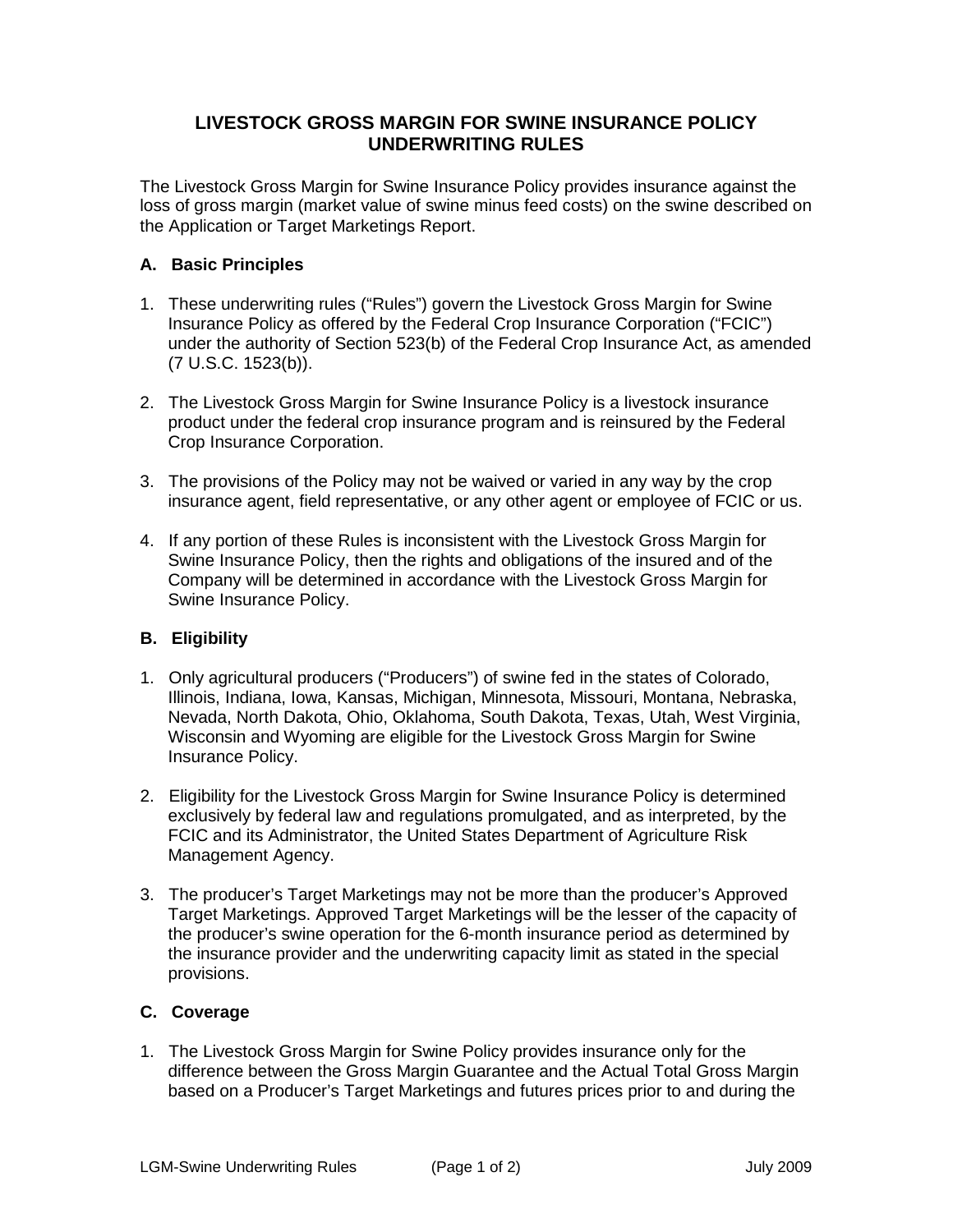## **LIVESTOCK GROSS MARGIN FOR SWINE INSURANCE POLICY UNDERWRITING RULES**

The Livestock Gross Margin for Swine Insurance Policy provides insurance against the loss of gross margin (market value of swine minus feed costs) on the swine described on the Application or Target Marketings Report.

## **A. Basic Principles**

- 1. These underwriting rules ("Rules") govern the Livestock Gross Margin for Swine Insurance Policy as offered by the Federal Crop Insurance Corporation ("FCIC") under the authority of Section 523(b) of the Federal Crop Insurance Act, as amended (7 U.S.C. 1523(b)).
- 2. The Livestock Gross Margin for Swine Insurance Policy is a livestock insurance product under the federal crop insurance program and is reinsured by the Federal Crop Insurance Corporation.
- 3. The provisions of the Policy may not be waived or varied in any way by the crop insurance agent, field representative, or any other agent or employee of FCIC or us.
- 4. If any portion of these Rules is inconsistent with the Livestock Gross Margin for Swine Insurance Policy, then the rights and obligations of the insured and of the Company will be determined in accordance with the Livestock Gross Margin for Swine Insurance Policy.

## **B. Eligibility**

- 1. Only agricultural producers ("Producers") of swine fed in the states of Colorado, Illinois, Indiana, Iowa, Kansas, Michigan, Minnesota, Missouri, Montana, Nebraska, Nevada, North Dakota, Ohio, Oklahoma, South Dakota, Texas, Utah, West Virginia, Wisconsin and Wyoming are eligible for the Livestock Gross Margin for Swine Insurance Policy.
- 2. Eligibility for the Livestock Gross Margin for Swine Insurance Policy is determined exclusively by federal law and regulations promulgated, and as interpreted, by the FCIC and its Administrator, the United States Department of Agriculture Risk Management Agency.
- 3. The producer's Target Marketings may not be more than the producer's Approved Target Marketings. Approved Target Marketings will be the lesser of the capacity of the producer's swine operation for the 6-month insurance period as determined by the insurance provider and the underwriting capacity limit as stated in the special provisions.

## **C. Coverage**

1. The Livestock Gross Margin for Swine Policy provides insurance only for the difference between the Gross Margin Guarantee and the Actual Total Gross Margin based on a Producer's Target Marketings and futures prices prior to and during the